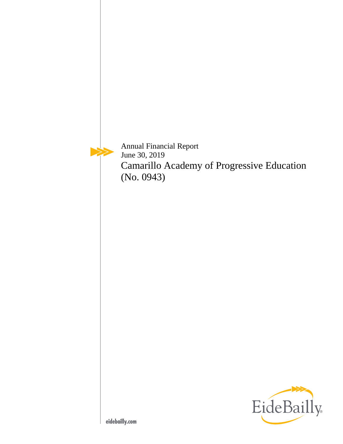Annual Financial Report June 30, 2019 Camarillo Academy of Progressive Education (No. 0943)

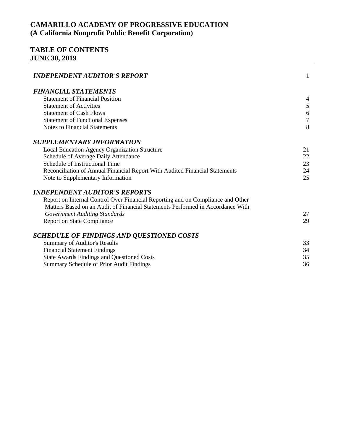# **TABLE OF CONTENTS JUNE 30, 2019**

| <b>INDEPENDENT AUDITOR'S REPORT</b>                                             | $\mathbf{1}$   |
|---------------------------------------------------------------------------------|----------------|
| <b>FINANCIAL STATEMENTS</b>                                                     |                |
| <b>Statement of Financial Position</b>                                          | 4              |
| <b>Statement of Activities</b>                                                  | 5              |
| <b>Statement of Cash Flows</b>                                                  | 6              |
| <b>Statement of Functional Expenses</b>                                         | $\overline{7}$ |
| <b>Notes to Financial Statements</b>                                            | 8              |
| <b>SUPPLEMENTARY INFORMATION</b>                                                |                |
| Local Education Agency Organization Structure                                   | 21             |
| Schedule of Average Daily Attendance                                            | 22             |
| Schedule of Instructional Time                                                  | 23             |
| Reconciliation of Annual Financial Report With Audited Financial Statements     | 24             |
| Note to Supplementary Information                                               | 25             |
| <b>INDEPENDENT AUDITOR'S REPORTS</b>                                            |                |
| Report on Internal Control Over Financial Reporting and on Compliance and Other |                |
| Matters Based on an Audit of Financial Statements Performed in Accordance With  |                |
| <b>Government Auditing Standards</b>                                            | 27             |
| <b>Report on State Compliance</b>                                               | 29             |
| SCHEDULE OF FINDINGS AND QUESTIONED COSTS                                       |                |
| <b>Summary of Auditor's Results</b>                                             | 33             |
| <b>Financial Statement Findings</b>                                             | 34             |
| <b>State Awards Findings and Questioned Costs</b>                               | 35             |
| Summary Schedule of Prior Audit Findings                                        | 36             |
|                                                                                 |                |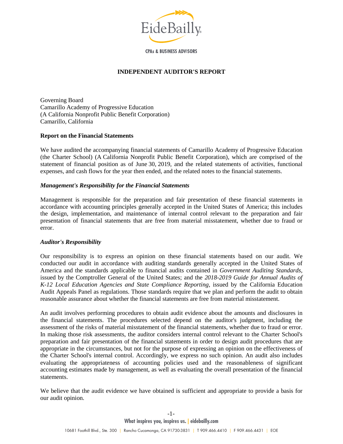

**CPAs & BUSINESS ADVISORS** 

## **INDEPENDENT AUDITOR'S REPORT**

Governing Board Camarillo Academy of Progressive Education (A California Nonprofit Public Benefit Corporation) Camarillo, California

## **Report on the Financial Statements**

We have audited the accompanying financial statements of Camarillo Academy of Progressive Education (the Charter School) (A California Nonprofit Public Benefit Corporation), which are comprised of the statement of financial position as of June 30, 2019, and the related statements of activities, functional expenses, and cash flows for the year then ended, and the related notes to the financial statements.

#### <span id="page-2-0"></span>*Management's Responsibility for the Financial Statements*

Management is responsible for the preparation and fair presentation of these financial statements in accordance with accounting principles generally accepted in the United States of America; this includes the design, implementation, and maintenance of internal control relevant to the preparation and fair presentation of financial statements that are free from material misstatement, whether due to fraud or error.

#### *Auditor's Responsibility*

Our responsibility is to express an opinion on these financial statements based on our audit. We conducted our audit in accordance with auditing standards generally accepted in the United States of America and the standards applicable to financial audits contained in *Government Auditing Standards,* issued by the Comptroller General of the United States; and the *2018-2019 Guide for Annual Audits of K-12 Local Education Agencies and State Compliance Reporting*, issued by the California Education Audit Appeals Panel as regulations. Those standards require that we plan and perform the audit to obtain reasonable assurance about whether the financial statements are free from material misstatement.

An audit involves performing procedures to obtain audit evidence about the amounts and disclosures in the financial statements. The procedures selected depend on the auditor's judgment, including the assessment of the risks of material misstatement of the financial statements, whether due to fraud or error. In making those risk assessments, the auditor considers internal control relevant to the Charter School's preparation and fair presentation of the financial statements in order to design audit procedures that are appropriate in the circumstances, but not for the purpose of expressing an opinion on the effectiveness of the Charter School's internal control. Accordingly, we express no such opinion. An audit also includes evaluating the appropriateness of accounting policies used and the reasonableness of significant accounting estimates made by management, as well as evaluating the overall presentation of the financial statements.

We believe that the audit evidence we have obtained is sufficient and appropriate to provide a basis for our audit opinion.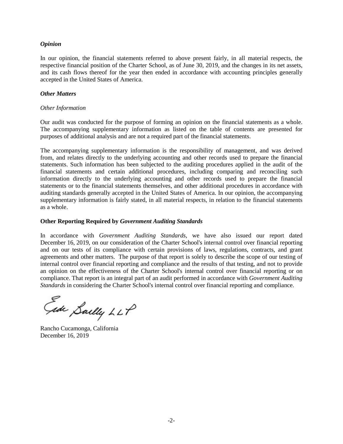#### *Opinion*

In our opinion, the financial statements referred to above present fairly, in all material respects, the respective financial position of the Charter School, as of June 30, 2019, and the changes in its net assets, and its cash flows thereof for the year then ended in accordance with accounting principles generally accepted in the United States of America.

#### *Other Matters*

#### *Other Information*

Our audit was conducted for the purpose of forming an opinion on the financial statements as a whole. The accompanying supplementary information as listed on the table of contents are presented for purposes of additional analysis and are not a required part of the financial statements.

The accompanying supplementary information is the responsibility of management, and was derived from, and relates directly to the underlying accounting and other records used to prepare the financial statements. Such information has been subjected to the auditing procedures applied in the audit of the financial statements and certain additional procedures, including comparing and reconciling such information directly to the underlying accounting and other records used to prepare the financial statements or to the financial statements themselves, and other additional procedures in accordance with auditing standards generally accepted in the United States of America. In our opinion, the accompanying supplementary information is fairly stated, in all material respects, in relation to the financial statements as a whole.

#### **Other Reporting Required by** *Government Auditing Standards*

In accordance with *Government Auditing Standards*, we have also issued our report dated December 16, 2019, on our consideration of the Charter School's internal control over financial reporting and on our tests of its compliance with certain provisions of laws, regulations, contracts, and grant agreements and other matters. The purpose of that report is solely to describe the scope of our testing of internal control over financial reporting and compliance and the results of that testing, and not to provide an opinion on the effectiveness of the Charter School's internal control over financial reporting or on compliance. That report is an integral part of an audit performed in accordance with *Government Auditing Standards* in considering the Charter School's internal control over financial reporting and compliance.

Ede Sailly LLP

Rancho Cucamonga, California December 16, 2019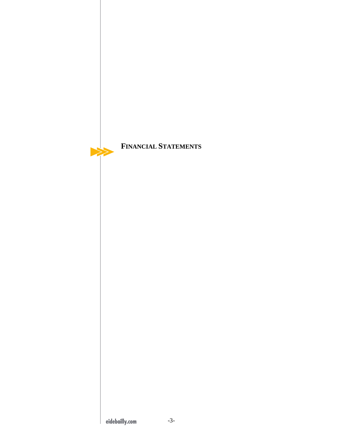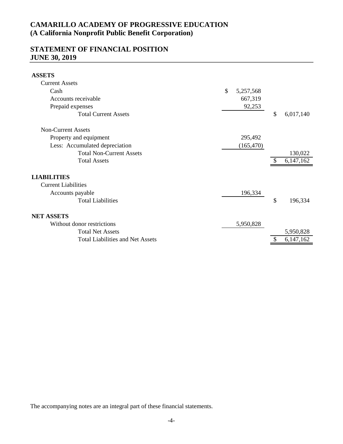## **STATEMENT OF FINANCIAL POSITION JUNE 30, 2019**

<span id="page-5-0"></span>

| <b>ASSETS</b>                           |                 |                 |
|-----------------------------------------|-----------------|-----------------|
| <b>Current Assets</b>                   |                 |                 |
| Cash                                    | \$<br>5,257,568 |                 |
| Accounts receivable                     | 667,319         |                 |
| Prepaid expenses                        | 92,253          |                 |
| <b>Total Current Assets</b>             |                 | \$<br>6,017,140 |
| <b>Non-Current Assets</b>               |                 |                 |
| Property and equipment                  | 295,492         |                 |
| Less: Accumulated depreciation          | (165, 470)      |                 |
| <b>Total Non-Current Assets</b>         |                 | 130,022         |
| <b>Total Assets</b>                     |                 | 6,147,162       |
| <b>LIABILITIES</b>                      |                 |                 |
| <b>Current Liabilities</b>              |                 |                 |
| Accounts payable                        | 196,334         |                 |
| <b>Total Liabilities</b>                |                 | \$<br>196,334   |
| <b>NET ASSETS</b>                       |                 |                 |
| Without donor restrictions              | 5,950,828       |                 |
| <b>Total Net Assets</b>                 |                 | 5,950,828       |
| <b>Total Liabilities and Net Assets</b> |                 | 6,147,162       |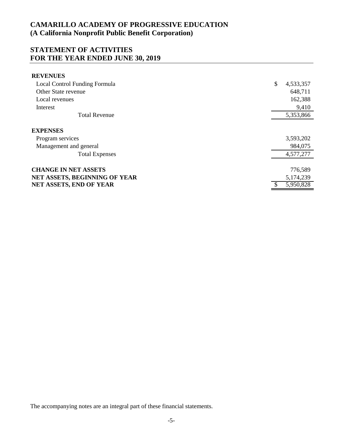## **STATEMENT OF ACTIVITIES FOR THE YEAR ENDED JUNE 30, 2019**

<span id="page-6-0"></span>

| <b>REVENUES</b>                                              |                      |
|--------------------------------------------------------------|----------------------|
| Local Control Funding Formula                                | \$<br>4,533,357      |
| Other State revenue                                          | 648,711              |
| Local revenues                                               | 162,388              |
| Interest                                                     | 9,410                |
| <b>Total Revenue</b>                                         | 5,353,866            |
| <b>EXPENSES</b>                                              |                      |
| Program services<br>Management and general                   | 3,593,202<br>984,075 |
| <b>Total Expenses</b>                                        | 4,577,277            |
| <b>CHANGE IN NET ASSETS</b><br>NET ASSETS, BEGINNING OF YEAR | 776,589<br>5,174,239 |
| <b>NET ASSETS, END OF YEAR</b>                               | 5,950,828            |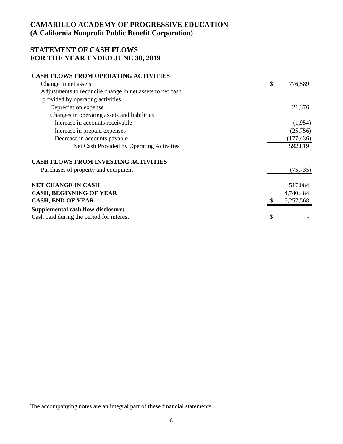# **STATEMENT OF CASH FLOWS FOR THE YEAR ENDED JUNE 30, 2019**

<span id="page-7-0"></span>

| <b>CASH FLOWS FROM OPERATING ACTIVITIES</b>               |               |
|-----------------------------------------------------------|---------------|
| Change in net assets                                      | \$<br>776,589 |
| Adjustments to reconcile change in net assets to net cash |               |
| provided by operating activities:                         |               |
| Depreciation expense                                      | 21,376        |
| Changes in operating assets and liabilities               |               |
| Increase in accounts receivable                           | (1,954)       |
| Increase in prepaid expenses                              | (25,756)      |
| Decrease in accounts payable                              | (177, 436)    |
| Net Cash Provided by Operating Activities                 | 592,819       |
| <b>CASH FLOWS FROM INVESTING ACTIVITIES</b>               |               |
| Purchases of property and equipment                       | (75, 735)     |
| <b>NET CHANGE IN CASH</b>                                 | 517,084       |
| CASH, BEGINNING OF YEAR                                   | 4,740,484     |
| <b>CASH, END OF YEAR</b>                                  | 5,257,568     |
| <b>Supplemental cash flow disclosure:</b>                 |               |
| Cash paid during the period for interest                  |               |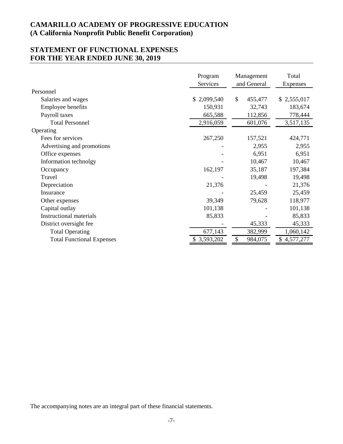## **STATEMENT OF FUNCTIONAL EXPENSES FOR THE YEAR ENDED JUNE 30, 2019**

<span id="page-8-0"></span>

|                                  | Program<br>Services | Management<br>and General | Total<br>Expenses |
|----------------------------------|---------------------|---------------------------|-------------------|
| Personnel                        |                     |                           |                   |
| Salaries and wages               | \$2,099,540         | $\mathbb{S}$<br>455,477   | \$2,555,017       |
| Employee benefits                | 150,931             | 32,743                    | 183,674           |
| Payroll taxes                    | 665,588             | 112,856                   | 778,444           |
| <b>Total Personnel</b>           | 2,916,059           | 601,076                   | 3,517,135         |
| Operating                        |                     |                           |                   |
| Fees for services                | 267,250             | 157,521                   | 424,771           |
| Advertising and promotions       |                     | 2,955                     | 2,955             |
| Office expenses                  |                     | 6,951                     | 6,951             |
| Information technolgy            |                     | 10,467                    | 10,467            |
| Occupancy                        | 162,197             | 35,187                    | 197,384           |
| Travel                           |                     | 19,498                    | 19,498            |
| Depreciation                     | 21,376              |                           | 21,376            |
| Insurance                        |                     | 25,459                    | 25,459            |
| Other expenses                   | 39,349              | 79,628                    | 118,977           |
| Capital outlay                   | 101,138             |                           | 101,138           |
| <b>Instructional materials</b>   | 85,833              |                           | 85,833            |
| District oversight fee           |                     | 45,333                    | 45,333            |
| <b>Total Operating</b>           | 677,143             | 382,999                   | 1,060,142         |
| <b>Total Functional Expenses</b> | 3,593,202           | \$<br>984,075             | \$4,577,277       |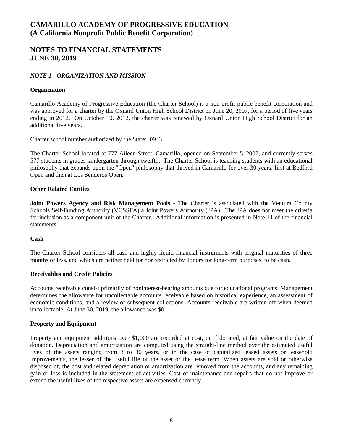## **NOTES TO FINANCIAL STATEMENTS JUNE 30, 2019**

## <span id="page-9-0"></span>*NOTE 1 - ORGANIZATION AND MISSION*

## **Organization**

Camarillo Academy of Progressive Education (the Charter School) is a non-profit public benefit corporation and was approved for a charter by the Oxnard Union High School District on June 20, 2007, for a period of five years ending in 2012. On October 10, 2012, the charter was renewed by Oxnard Union High School District for an additional five years.

Charter school number authorized by the State: 0943

The Charter School located at 777 Aileen Street, Camarillo, opened on September 5, 2007, and currently serves 577 students in grades kindergarten through twelfth. The Charter School is teaching students with an educational philosophy that expands upon the "Open" philosophy that thrived in Camarillo for over 30 years, first at Bedford Open and then at Los Senderos Open.

## **Other Related Entities**

Joint Powers Agency and Risk Management Pools - The Charter is associated with the Ventura County Schools Self-Funding Authority (VCSSFA) a Joint Powers Authority (JPA). The JPA does not meet the criteria for inclusion as a component unit of the Charter. Additional information is presented in Note 11 of the financial statements.

## **Cash**

The Charter School considers all cash and highly liquid financial instruments with original maturities of three months or less, and which are neither held for nor restricted by donors for long-term purposes, to be cash.

## **Receivables and Credit Policies**

Accounts receivable consist primarily of noninterest-bearing amounts due for educational programs. Management determines the allowance for uncollectable accounts receivable based on historical experience, an assessment of economic conditions, and a review of subsequent collections. Accounts receivable are written off when deemed uncollectable. At June 30, 2019, the allowance was \$0.

## **Property and Equipment**

Property and equipment additions over \$1,000 are recorded at cost, or if donated, at fair value on the date of donation. Depreciation and amortization are computed using the straight-line method over the estimated useful lives of the assets ranging from 3 to 30 years, or in the case of capitalized leased assets or leasehold improvements, the lesser of the useful life of the asset or the lease term. When assets are sold or otherwise disposed of, the cost and related depreciation or amortization are removed from the accounts, and any remaining gain or loss is included in the statement of activities. Cost of maintenance and repairs that do not improve or extend the useful lives of the respective assets are expensed currently.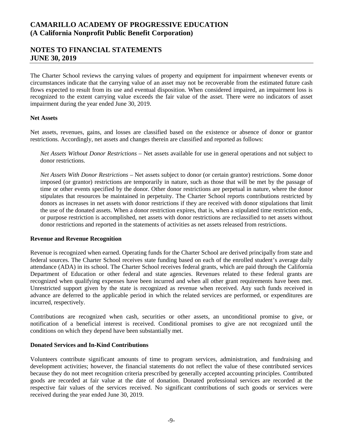## **NOTES TO FINANCIAL STATEMENTS JUNE 30, 2019**

The Charter School reviews the carrying values of property and equipment for impairment whenever events or circumstances indicate that the carrying value of an asset may not be recoverable from the estimated future cash flows expected to result from its use and eventual disposition. When considered impaired, an impairment loss is recognized to the extent carrying value exceeds the fair value of the asset. There were no indicators of asset impairment during the year ended June 30, 2019.

#### **Net Assets**

Net assets, revenues, gains, and losses are classified based on the existence or absence of donor or grantor restrictions. Accordingly, net assets and changes therein are classified and reported as follows:

*Net Assets Without Donor Restrictions –* Net assets available for use in general operations and not subject to donor restrictions.

*Net Assets With Donor Restrictions* – Net assets subject to donor (or certain grantor) restrictions. Some donor imposed (or grantor) restrictions are temporarily in nature, such as those that will be met by the passage of time or other events specified by the donor. Other donor restrictions are perpetual in nature, where the donor stipulates that resources be maintained in perpetuity. The Charter School reports contributions restricted by donors as increases in net assets with donor restrictions if they are received with donor stipulations that limit the use of the donated assets. When a donor restriction expires, that is, when a stipulated time restriction ends, or purpose restriction is accomplished, net assets with donor restrictions are reclassified to net assets without donor restrictions and reported in the statements of activities as net assets released from restrictions.

#### **Revenue and Revenue Recognition**

Revenue is recognized when earned. Operating funds for the Charter School are derived principally from state and federal sources. The Charter School receives state funding based on each of the enrolled student's average daily attendance (ADA) in its school. The Charter School receives federal grants, which are paid through the California Department of Education or other federal and state agencies. Revenues related to these federal grants are recognized when qualifying expenses have been incurred and when all other grant requirements have been met. Unrestricted support given by the state is recognized as revenue when received. Any such funds received in advance are deferred to the applicable period in which the related services are performed, or expenditures are incurred, respectively.

Contributions are recognized when cash, securities or other assets, an unconditional promise to give, or notification of a beneficial interest is received. Conditional promises to give are not recognized until the conditions on which they depend have been substantially met.

#### **Donated Services and In-Kind Contributions**

Volunteers contribute significant amounts of time to program services, administration, and fundraising and development activities; however, the financial statements do not reflect the value of these contributed services because they do not meet recognition criteria prescribed by generally accepted accounting principles. Contributed goods are recorded at fair value at the date of donation. Donated professional services are recorded at the respective fair values of the services received. No significant contributions of such goods or services were received during the year ended June 30, 2019.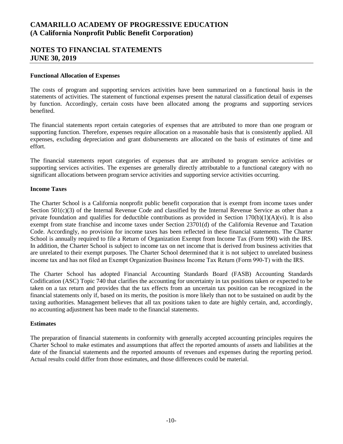## **NOTES TO FINANCIAL STATEMENTS JUNE 30, 2019**

#### **Functional Allocation of Expenses**

The costs of program and supporting services activities have been summarized on a functional basis in the statements of activities. The statement of functional expenses present the natural classification detail of expenses by function. Accordingly, certain costs have been allocated among the programs and supporting services benefited.

The financial statements report certain categories of expenses that are attributed to more than one program or supporting function. Therefore, expenses require allocation on a reasonable basis that is consistently applied. All expenses, excluding depreciation and grant disbursements are allocated on the basis of estimates of time and effort.

The financial statements report categories of expenses that are attributed to program service activities or supporting services activities. The expenses are generally directly attributable to a functional category with no significant allocations between program service activities and supporting service activities occurring.

#### **Income Taxes**

The Charter School is a California nonprofit public benefit corporation that is exempt from income taxes under Section 501(c)(3) of the Internal Revenue Code and classified by the Internal Revenue Service as other than a private foundation and qualifies for deductible contributions as provided in Section  $170(b)(1)(A)(vi)$ . It is also exempt from state franchise and income taxes under Section 23701(d) of the California Revenue and Taxation Code. Accordingly, no provision for income taxes has been reflected in these financial statements. The Charter School is annually required to file a Return of Organization Exempt from Income Tax (Form 990) with the IRS. In addition, the Charter School is subject to income tax on net income that is derived from business activities that are unrelated to their exempt purposes. The Charter School determined that it is not subject to unrelated business income tax and has not filed an Exempt Organization Business Income Tax Return (Form 990‐T) with the IRS.

The Charter School has adopted Financial Accounting Standards Board (FASB) Accounting Standards Codification (ASC) Topic 740 that clarifies the accounting for uncertainty in tax positions taken or expected to be taken on a tax return and provides that the tax effects from an uncertain tax position can be recognized in the financial statements only if, based on its merits, the position is more likely than not to be sustained on audit by the taxing authorities. Management believes that all tax positions taken to date are highly certain, and, accordingly, no accounting adjustment has been made to the financial statements.

## **Estimates**

The preparation of financial statements in conformity with generally accepted accounting principles requires the Charter School to make estimates and assumptions that affect the reported amounts of assets and liabilities at the date of the financial statements and the reported amounts of revenues and expenses during the reporting period. Actual results could differ from those estimates, and those differences could be material.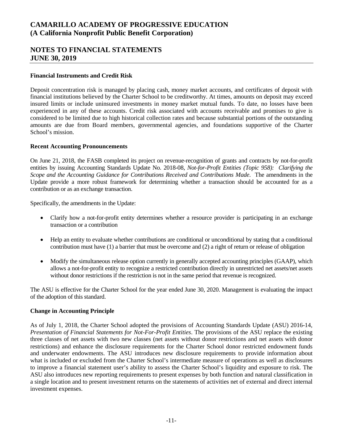## **NOTES TO FINANCIAL STATEMENTS JUNE 30, 2019**

## **Financial Instruments and Credit Risk**

Deposit concentration risk is managed by placing cash, money market accounts, and certificates of deposit with financial institutions believed by the Charter School to be creditworthy. At times, amounts on deposit may exceed insured limits or include uninsured investments in money market mutual funds. To date, no losses have been experienced in any of these accounts. Credit risk associated with accounts receivable and promises to give is considered to be limited due to high historical collection rates and because substantial portions of the outstanding amounts are due from Board members, governmental agencies, and foundations supportive of the Charter School's mission.

## **Recent Accounting Pronouncements**

On June 21, 2018, the FASB completed its project on revenue-recognition of grants and contracts by not-for-profit entities by issuing Accounting Standards Update No. 2018-08, *Not-for-Profit Entities (Topic 958): Clarifying the Scope and the Accounting Guidance for Contributions Received and Contributions Made*.The amendments in the Update provide a more robust framework for determining whether a transaction should be accounted for as a contribution or as an exchange transaction.

Specifically, the amendments in the Update:

- Clarify how a not-for-profit entity determines whether a resource provider is participating in an exchange transaction or a contribution
- Help an entity to evaluate whether contributions are conditional or unconditional by stating that a conditional contribution must have (1) a barrier that must be overcome and (2) a right of return or release of obligation
- Modify the simultaneous release option currently in generally accepted accounting principles (GAAP), which allows a not-for-profit entity to recognize a restricted contribution directly in unrestricted net assets/net assets without donor restrictions if the restriction is not in the same period that revenue is recognized.

The ASU is effective for the Charter School for the year ended June 30, 2020. Management is evaluating the impact of the adoption of this standard.

#### **Change in Accounting Principle**

As of July 1, 2018, the Charter School adopted the provisions of Accounting Standards Update (ASU) 2016-14, *Presentation of Financial Statements for Not-For-Profit Entities*. The provisions of the ASU replace the existing three classes of net assets with two new classes (net assets without donor restrictions and net assets with donor restrictions) and enhance the disclosure requirements for the Charter School donor restricted endowment funds and underwater endowments. The ASU introduces new disclosure requirements to provide information about what is included or excluded from the Charter School's intermediate measure of operations as well as disclosures to improve a financial statement user's ability to assess the Charter School's liquidity and exposure to risk. The ASU also introduces new reporting requirements to present expenses by both function and natural classification in a single location and to present investment returns on the statements of activities net of external and direct internal investment expenses.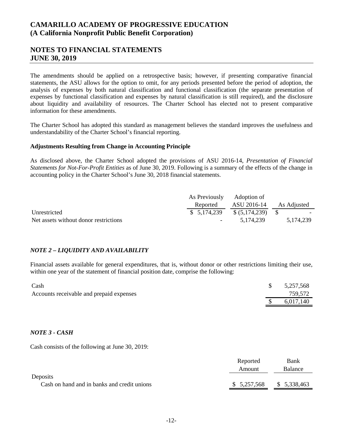## **NOTES TO FINANCIAL STATEMENTS JUNE 30, 2019**

The amendments should be applied on a retrospective basis; however, if presenting comparative financial statements, the ASU allows for the option to omit, for any periods presented before the period of adoption, the analysis of expenses by both natural classification and functional classification (the separate presentation of expenses by functional classification and expenses by natural classification is still required), and the disclosure about liquidity and availability of resources. The Charter School has elected not to present comparative information for these amendments.

The Charter School has adopted this standard as management believes the standard improves the usefulness and understandability of the Charter School's financial reporting.

## **Adjustments Resulting from Change in Accounting Principle**

As disclosed above, the Charter School adopted the provisions of ASU 2016-14, *Presentation of Financial Statements for Not-For-Profit Entities* as of June 30, 2019. Following is a summary of the effects of the change in accounting policy in the Charter School's June 30, 2018 financial statements.

|                                       | As Previously Adoption of |                |             |
|---------------------------------------|---------------------------|----------------|-------------|
|                                       | Reported                  | ASU 2016-14    | As Adjusted |
| Unrestricted                          | \$5,174,239               | \$ (5,174,239) |             |
| Net assets without donor restrictions | $\sim$                    | 5.174.239      | 5.174.239   |

## *NOTE 2 – LIQUIDITY AND AVAILABILITY*

Financial assets available for general expenditures, that is, without donor or other restrictions limiting their use, within one year of the statement of financial position date, comprise the following:

| Cash                                     | \$5,257,568 |
|------------------------------------------|-------------|
| Accounts receivable and prepaid expenses | 759,572     |
|                                          | 6,017,140   |

## *NOTE 3 - CASH*

Cash consists of the following at June 30, 2019:

|                                             | Reported     | Bank           |
|---------------------------------------------|--------------|----------------|
|                                             | Amount       | <b>Balance</b> |
| Deposits                                    |              |                |
| Cash on hand and in banks and credit unions | \$ 5,257,568 | \$5,338,463    |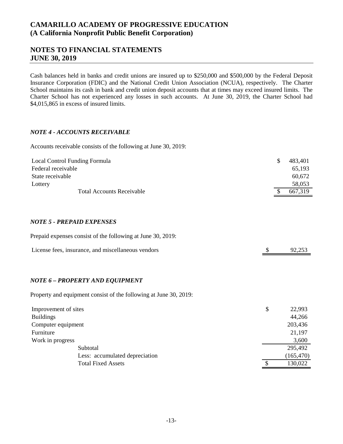## **NOTES TO FINANCIAL STATEMENTS JUNE 30, 2019**

Cash balances held in banks and credit unions are insured up to \$250,000 and \$500,000 by the Federal Deposit Insurance Corporation (FDIC) and the National Credit Union Association (NCUA), respectively. The Charter School maintains its cash in bank and credit union deposit accounts that at times may exceed insured limits. The Charter School has not experienced any losses in such accounts. At June 30, 2019, the Charter School had \$4,015,865 in excess of insured limits.

## *NOTE 4 - ACCOUNTS RECEIVABLE*

Accounts receivable consists of the following at June 30, 2019:

| Local Control Funding Formula    | 483.401 |
|----------------------------------|---------|
| Federal receivable               | 65.193  |
| State receivable                 | 60,672  |
| Lottery                          | 58,053  |
| <b>Total Accounts Receivable</b> | 667,319 |

## *NOTE 5 - PREPAID EXPENSES*

| Prepaid expenses consist of the following at June 30, 2019: |        |
|-------------------------------------------------------------|--------|
| License fees, insurance, and miscellaneous vendors          | 92.253 |

## *NOTE 6 – PROPERTY AND EQUIPMENT*

Property and equipment consist of the following at June 30, 2019:

| \$<br>22,993 |
|--------------|
| 44,266       |
| 203,436      |
| 21,197       |
| 3,600        |
| 295,492      |
| (165, 470)   |
| 130,022      |
|              |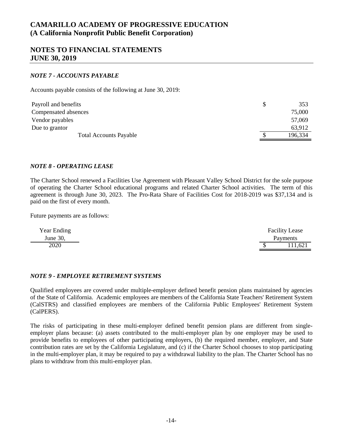## **NOTES TO FINANCIAL STATEMENTS JUNE 30, 2019**

## *NOTE 7 - ACCOUNTS PAYABLE*

Accounts payable consists of the following at June 30, 2019:

| Payroll and benefits          | S  | 353     |
|-------------------------------|----|---------|
| Compensated absences          |    | 75,000  |
| Vendor payables               |    | 57,069  |
| Due to grantor                |    | 63,912  |
| <b>Total Accounts Payable</b> | \$ | 196,334 |
|                               |    |         |

## *NOTE 8 - OPERATING LEASE*

The Charter School renewed a Facilities Use Agreement with Pleasant Valley School District for the sole purpose of operating the Charter School educational programs and related Charter School activities. The term of this agreement is through June 30, 2023. The Pro-Rata Share of Facilities Cost for 2018-2019 was \$37,134 and is paid on the first of every month.

Future payments are as follows:

| Year Ending |  | <b>Facility Lease</b> |
|-------------|--|-----------------------|
| June 30,    |  | Payments              |
| 2020        |  | 111,621               |

## *NOTE 9 - EMPLOYEE RETIREMENT SYSTEMS*

Qualified employees are covered under multiple-employer defined benefit pension plans maintained by agencies of the State of California. Academic employees are members of the California State Teachers' Retirement System (CalSTRS) and classified employees are members of the California Public Employees' Retirement System (CalPERS).

The risks of participating in these multi-employer defined benefit pension plans are different from singleemployer plans because: (a) assets contributed to the multi-employer plan by one employer may be used to provide benefits to employees of other participating employers, (b) the required member, employer, and State contribution rates are set by the California Legislature, and (c) if the Charter School chooses to stop participating in the multi-employer plan, it may be required to pay a withdrawal liability to the plan. The Charter School has no plans to withdraw from this multi-employer plan.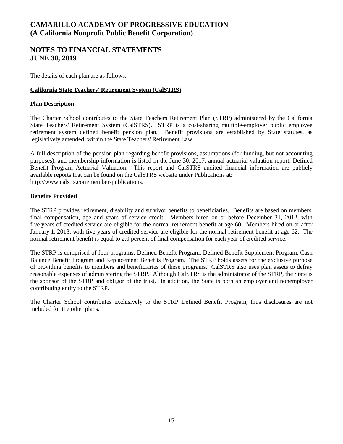## **NOTES TO FINANCIAL STATEMENTS JUNE 30, 2019**

The details of each plan are as follows:

## **California State Teachers' Retirement System (CalSTRS)**

#### **Plan Description**

The Charter School contributes to the State Teachers Retirement Plan (STRP) administered by the California State Teachers' Retirement System (CalSTRS). STRP is a cost-sharing multiple-employer public employee retirement system defined benefit pension plan. Benefit provisions are established by State statutes, as legislatively amended, within the State Teachers' Retirement Law.

A full description of the pension plan regarding benefit provisions, assumptions (for funding, but not accounting purposes), and membership information is listed in the June 30, 2017, annual actuarial valuation report, Defined Benefit Program Actuarial Valuation. This report and CalSTRS audited financial information are publicly available reports that can be found on the CalSTRS website under Publications at: http://www.calstrs.com/member-publications.

## **Benefits Provided**

The STRP provides retirement, disability and survivor benefits to beneficiaries. Benefits are based on members' final compensation, age and years of service credit. Members hired on or before December 31, 2012, with five years of credited service are eligible for the normal retirement benefit at age 60. Members hired on or after January 1, 2013, with five years of credited service are eligible for the normal retirement benefit at age 62. The normal retirement benefit is equal to 2.0 percent of final compensation for each year of credited service.

The STRP is comprised of four programs: Defined Benefit Program, Defined Benefit Supplement Program, Cash Balance Benefit Program and Replacement Benefits Program. The STRP holds assets for the exclusive purpose of providing benefits to members and beneficiaries of these programs. CalSTRS also uses plan assets to defray reasonable expenses of administering the STRP. Although CalSTRS is the administrator of the STRP, the State is the sponsor of the STRP and obligor of the trust. In addition, the State is both an employer and nonemployer contributing entity to the STRP.

The Charter School contributes exclusively to the STRP Defined Benefit Program, thus disclosures are not included for the other plans.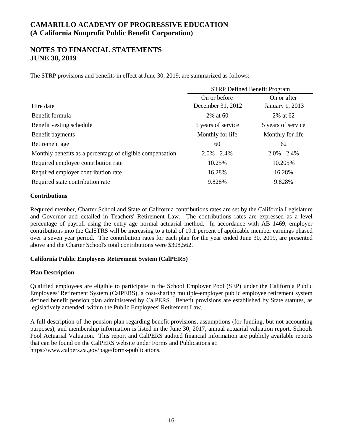## **NOTES TO FINANCIAL STATEMENTS JUNE 30, 2019**

The STRP provisions and benefits in effect at June 30, 2019, are summarized as follows:

|                                                           | <b>STRP Defined Benefit Program</b> |                        |  |
|-----------------------------------------------------------|-------------------------------------|------------------------|--|
|                                                           | On or before                        | On or after            |  |
| Hire date                                                 | December 31, 2012                   | <b>January 1, 2013</b> |  |
| Benefit formula                                           | 2\% at $60$                         | 2% at 62               |  |
| Benefit vesting schedule                                  | 5 years of service                  | 5 years of service     |  |
| Benefit payments                                          | Monthly for life                    | Monthly for life       |  |
| Retirement age                                            | 60                                  | 62                     |  |
| Monthly benefits as a percentage of eligible compensation | $2.0\% - 2.4\%$                     | $2.0\% - 2.4\%$        |  |
| Required employee contribution rate                       | 10.25%                              | 10.205%                |  |
| Required employer contribution rate                       | 16.28%                              | 16.28%                 |  |
| Required state contribution rate                          | 9.828%                              | 9.828%                 |  |

## **Contributions**

Required member, Charter School and State of California contributions rates are set by the California Legislature and Governor and detailed in Teachers' Retirement Law. The contributions rates are expressed as a level percentage of payroll using the entry age normal actuarial method. In accordance with AB 1469, employer contributions into the CalSTRS will be increasing to a total of 19.1 percent of applicable member earnings phased over a seven year period. The contribution rates for each plan for the year ended June 30, 2019, are presented above and the Charter School's total contributions were \$308,562.

## **California Public Employees Retirement System (CalPERS)**

## **Plan Description**

Qualified employees are eligible to participate in the School Employer Pool (SEP) under the California Public Employees' Retirement System (CalPERS), a cost-sharing multiple-employer public employee retirement system defined benefit pension plan administered by CalPERS. Benefit provisions are established by State statutes, as legislatively amended, within the Public Employees' Retirement Law.

A full description of the pension plan regarding benefit provisions, assumptions (for funding, but not accounting purposes), and membership information is listed in the June 30, 2017, annual actuarial valuation report, Schools Pool Actuarial Valuation. This report and CalPERS audited financial information are publicly available reports that can be found on the CalPERS website under Forms and Publications at: https://www.calpers.ca.gov/page/forms-publications.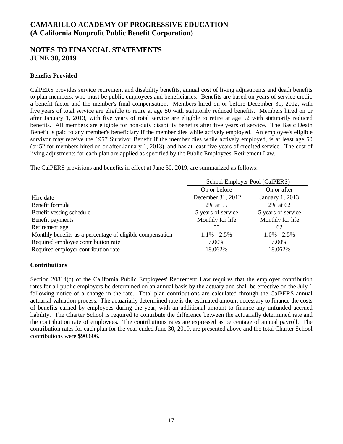## **NOTES TO FINANCIAL STATEMENTS JUNE 30, 2019**

## **Benefits Provided**

CalPERS provides service retirement and disability benefits, annual cost of living adjustments and death benefits to plan members, who must be public employees and beneficiaries. Benefits are based on years of service credit, a benefit factor and the member's final compensation. Members hired on or before December 31, 2012, with five years of total service are eligible to retire at age 50 with statutorily reduced benefits. Members hired on or after January 1, 2013, with five years of total service are eligible to retire at age 52 with statutorily reduced benefits. All members are eligible for non-duty disability benefits after five years of service. The Basic Death Benefit is paid to any member's beneficiary if the member dies while actively employed. An employee's eligible survivor may receive the 1957 Survivor Benefit if the member dies while actively employed, is at least age 50 (or 52 for members hired on or after January 1, 2013), and has at least five years of credited service. The cost of living adjustments for each plan are applied as specified by the Public Employees' Retirement Law.

The CalPERS provisions and benefits in effect at June 30, 2019, are summarized as follows:

|                                                           | School Employer Pool (CalPERS) |                    |
|-----------------------------------------------------------|--------------------------------|--------------------|
|                                                           | On or before                   | On or after        |
| Hire date                                                 | December 31, 2012              | January 1, 2013    |
| Benefit formula                                           | 2% at 55                       | 2% at 62           |
| Benefit vesting schedule                                  | 5 years of service             | 5 years of service |
| Benefit payments                                          | Monthly for life               | Monthly for life   |
| Retirement age                                            | 55                             | 62                 |
| Monthly benefits as a percentage of eligible compensation | $1.1\% - 2.5\%$                | $1.0\% - 2.5\%$    |
| Required employee contribution rate                       | 7.00%                          | 7.00%              |
| Required employer contribution rate                       | 18.062%                        | 18.062%            |

## **Contributions**

Section 20814(c) of the California Public Employees' Retirement Law requires that the employer contribution rates for all public employers be determined on an annual basis by the actuary and shall be effective on the July 1 following notice of a change in the rate. Total plan contributions are calculated through the CalPERS annual actuarial valuation process. The actuarially determined rate is the estimated amount necessary to finance the costs of benefits earned by employees during the year, with an additional amount to finance any unfunded accrued liability. The Charter School is required to contribute the difference between the actuarially determined rate and the contribution rate of employees. The contributions rates are expressed as percentage of annual payroll. The contribution rates for each plan for the year ended June 30, 2019, are presented above and the total Charter School contributions were \$90,606.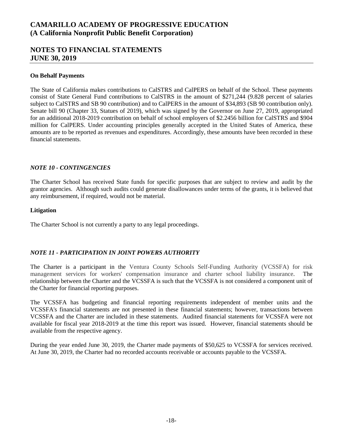## **NOTES TO FINANCIAL STATEMENTS JUNE 30, 2019**

## **On Behalf Payments**

The State of California makes contributions to CalSTRS and CalPERS on behalf of the School. These payments consist of State General Fund contributions to CalSTRS in the amount of \$271,244 (9.828 percent of salaries subject to CalSTRS and SB 90 contribution) and to CalPERS in the amount of \$34,893 (SB 90 contribution only). Senate bill 90 (Chapter 33, Statues of 2019), which was signed by the Governor on June 27, 2019, appropriated for an additional 2018-2019 contribution on behalf of school employers of \$2.2456 billion for CalSTRS and \$904 million for CalPERS. Under accounting principles generally accepted in the United States of America, these amounts are to be reported as revenues and expenditures. Accordingly, these amounts have been recorded in these financial statements.

## *NOTE 10 - CONTINGENCIES*

The Charter School has received State funds for specific purposes that are subject to review and audit by the grantor agencies. Although such audits could generate disallowances under terms of the grants, it is believed that any reimbursement, if required, would not be material.

## **Litigation**

The Charter School is not currently a party to any legal proceedings.

## *NOTE 11 - PARTICIPATION IN JOINT POWERS AUTHORITY*

The Charter is a participant in the Ventura County Schools Self-Funding Authority (VCSSFA) for risk management services for workers' compensation insurance and charter school liability insurance. The relationship between the Charter and the VCSSFA is such that the VCSSFA is not considered a component unit of the Charter for financial reporting purposes.

The VCSSFA has budgeting and financial reporting requirements independent of member units and the VCSSFA's financial statements are not presented in these financial statements; however, transactions between VCSSFA and the Charter are included in these statements. Audited financial statements for VCSSFA were not available for fiscal year 2018-2019 at the time this report was issued. However, financial statements should be available from the respective agency.

During the year ended June 30, 2019, the Charter made payments of \$50,625 to VCSSFA for services received. At June 30, 2019, the Charter had no recorded accounts receivable or accounts payable to the VCSSFA.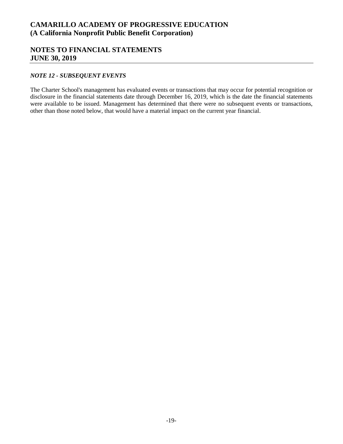## **NOTES TO FINANCIAL STATEMENTS JUNE 30, 2019**

## *NOTE 12 - SUBSEQUENT EVENTS*

The Charter School's management has evaluated events or transactions that may occur for potential recognition or disclosure in the financial statements date through December 16, 2019, which is the date the financial statements were available to be issued. Management has determined that there were no subsequent events or transactions, other than those noted below, that would have a material impact on the current year financial.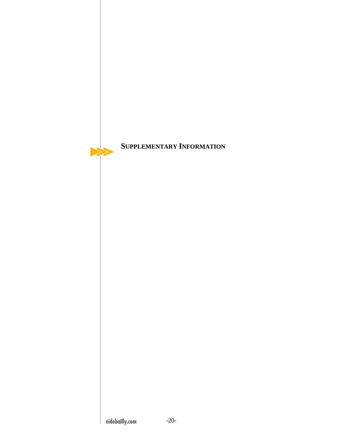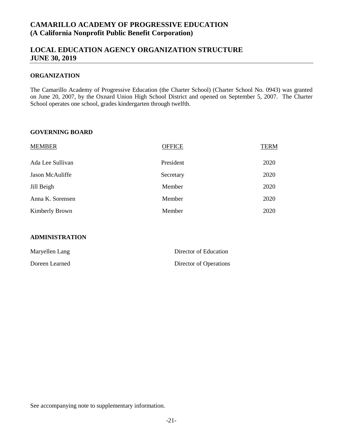## **LOCAL EDUCATION AGENCY ORGANIZATION STRUCTURE JUNE 30, 2019**

## <span id="page-22-0"></span>**ORGANIZATION**

The Camarillo Academy of Progressive Education (the Charter School) (Charter School No. 0943) was granted on June 20, 2007, by the Oxnard Union High School District and opened on September 5, 2007. The Charter School operates one school, grades kindergarten through twelfth.

## **GOVERNING BOARD**

| <b>MEMBER</b>    | <b>OFFICE</b> | <b>TERM</b> |
|------------------|---------------|-------------|
| Ada Lee Sullivan | President     | 2020        |
| Jason McAuliffe  | Secretary     | 2020        |
| Jill Beigh       | Member        | 2020        |
| Anna K. Sorensen | Member        | 2020        |
| Kimberly Brown   | Member        | 2020        |

## **ADMINISTRATION**

| Maryellen Lang | Director of Education  |
|----------------|------------------------|
| Doreen Learned | Director of Operations |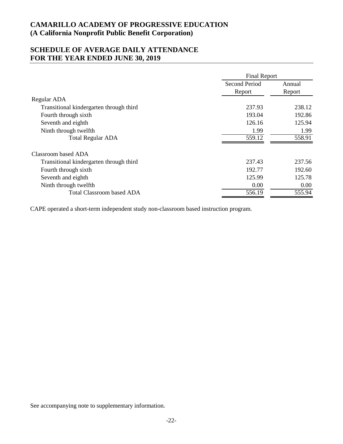# <span id="page-23-0"></span>**SCHEDULE OF AVERAGE DAILY ATTENDANCE FOR THE YEAR ENDED JUNE 30, 2019**

|                                         | <b>Final Report</b>     |                  |
|-----------------------------------------|-------------------------|------------------|
|                                         | Second Period<br>Report | Annual<br>Report |
| Regular ADA                             |                         |                  |
| Transitional kindergarten through third | 237.93                  | 238.12           |
| Fourth through sixth                    | 193.04                  | 192.86           |
| Seventh and eighth                      | 126.16                  | 125.94           |
| Ninth through twelfth                   | 1.99                    | 1.99             |
| <b>Total Regular ADA</b>                | 559.12                  | 558.91           |
| Classroom based ADA                     |                         |                  |
| Transitional kindergarten through third | 237.43                  | 237.56           |
| Fourth through sixth                    | 192.77                  | 192.60           |
| Seventh and eighth                      | 125.99                  | 125.78           |
| Ninth through twelfth                   | 0.00                    | 0.00             |
| <b>Total Classroom based ADA</b>        | 556.19                  | 555.94           |

CAPE operated a short-term independent study non-classroom based instruction program.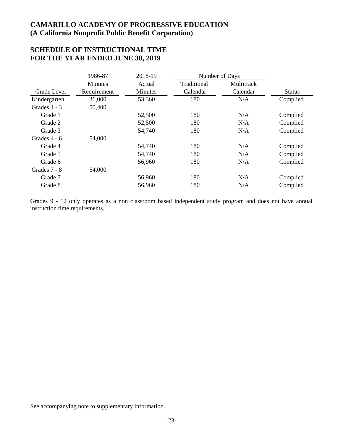<span id="page-24-0"></span>

| FOR THE YEAR ENDED JUNE 30, 2019 |                |         |                |            |               |
|----------------------------------|----------------|---------|----------------|------------|---------------|
|                                  | 1986-87        | 2018-19 | Number of Days |            |               |
|                                  | <b>Minutes</b> | Actual  | Traditional    | Multitrack |               |
| Grade Level                      | Requirement    | Minutes | Calendar       | Calendar   | <b>Status</b> |
| Kindergarten                     | 36,000         | 53,360  | 180            | N/A        | Complied      |
| Grades $1 - 3$                   | 50,400         |         |                |            |               |
| Grade 1                          |                | 52,500  | 180            | N/A        | Complied      |
| Grade 2                          |                | 52,500  | 180            | N/A        | Complied      |
| Grade 3                          |                | 54,740  | 180            | N/A        | Complied      |
| Grades $4 - 6$                   | 54,000         |         |                |            |               |
| Grade 4                          |                | 54,740  | 180            | N/A        | Complied      |
| Grade 5                          |                | 54,740  | 180            | N/A        | Complied      |
| Grade 6                          |                | 56,960  | 180            | N/A        | Complied      |
| Grades 7 - 8                     | 54,000         |         |                |            |               |
| Grade 7                          |                | 56,960  | 180            | N/A        | Complied      |
| Grade 8                          |                | 56,960  | 180            | N/A        | Complied      |

# **SCHEDULE OF INSTRUCTIONAL TIME**

Grades 9 - 12 only operates as a non classroom based independent study program and does not have annual instruction time requirements.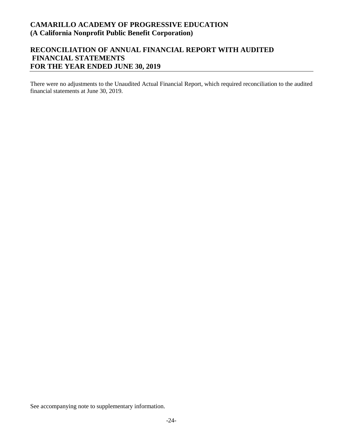## <span id="page-25-0"></span>**RECONCILIATION OF ANNUAL FINANCIAL REPORT WITH AUDITED FINANCIAL STATEMENTS FOR THE YEAR ENDED JUNE 30, 2019**

There were no adjustments to the Unaudited Actual Financial Report, which required reconciliation to the audited financial statements at June 30, 2019.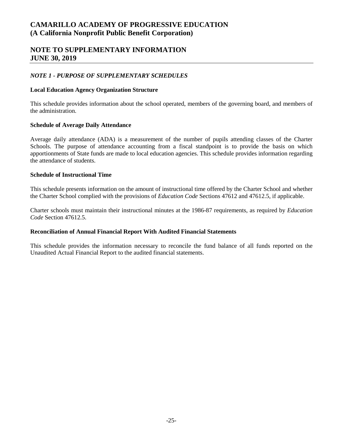## **NOTE TO SUPPLEMENTARY INFORMATION JUNE 30, 2019**

## *NOTE 1 - PURPOSE OF SUPPLEMENTARY SCHEDULES*

## **Local Education Agency Organization Structure**

This schedule provides information about the school operated, members of the governing board, and members of the administration.

## <span id="page-26-0"></span>**Schedule of Average Daily Attendance**

Average daily attendance (ADA) is a measurement of the number of pupils attending classes of the Charter Schools. The purpose of attendance accounting from a fiscal standpoint is to provide the basis on which apportionments of State funds are made to local education agencies. This schedule provides information regarding the attendance of students.

## **Schedule of Instructional Time**

This schedule presents information on the amount of instructional time offered by the Charter School and whether the Charter School complied with the provisions of *Education Code* Sections 47612 and 47612.5, if applicable.

Charter schools must maintain their instructional minutes at the 1986-87 requirements, as required by *Education Code* Section 47612.5.

## **Reconciliation of Annual Financial Report With Audited Financial Statements**

This schedule provides the information necessary to reconcile the fund balance of all funds reported on the Unaudited Actual Financial Report to the audited financial statements.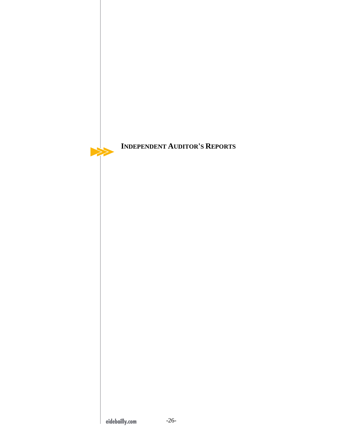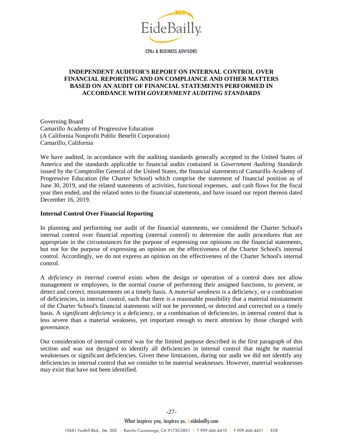

**CPAs & BUSINESS ADVISORS** 

## <span id="page-28-0"></span>**INDEPENDENT AUDITOR'S REPORT ON INTERNAL CONTROL OVER FINANCIAL REPORTING AND ON COMPLIANCE AND OTHER MATTERS BASED ON AN AUDIT OF FINANCIAL STATEMENTS PERFORMED IN ACCORDANCE WITH** *GOVERNMENT AUDITING STANDARDS*

Governing Board Camarillo Academy of Progressive Education (A California Nonprofit Public Benefit Corporation) Camarillo, California

We have audited, in accordance with the auditing standards generally accepted in the United States of America and the standards applicable to financial audits contained in *Government Auditing Standards*  issued by the Comptroller General of the United States, the financial statements of Camarillo Academy of Progressive Education (the Charter School) which comprise the statement of financial position as of June 30, 2019, and the related statements of activities, functional expenses, and cash flows for the fiscal year then ended, and the related notes to the financial statements, and have issued our report thereon dated December 16, 2019.

## **Internal Control Over Financial Reporting**

In planning and performing our audit of the financial statements, we considered the Charter School's internal control over financial reporting (internal control) to determine the audit procedures that are appropriate in the circumstances for the purpose of expressing our opinions on the financial statements, but not for the purpose of expressing an opinion on the effectiveness of the Charter School's internal control. Accordingly, we do not express an opinion on the effectiveness of the Charter School's internal control.

A *deficiency in internal control* exists when the design or operation of a control does not allow management or employees, in the normal course of performing their assigned functions, to prevent, or detect and correct, misstatements on a timely basis. A *material weakness* is a deficiency, or a combination of deficiencies, in internal control, such that there is a reasonable possibility that a material misstatement of the Charter School's financial statements will not be prevented, or detected and corrected on a timely basis. A *significant deficiency* is a deficiency, or a combination of deficiencies, in internal control that is less severe than a material weakness, yet important enough to merit attention by those charged with governance.

Our consideration of internal control was for the limited purpose described in the first paragraph of this section and was not designed to identify all deficiencies in internal control that might be material weaknesses or significant deficiencies. Given these limitations, during our audit we did not identify any deficiencies in internal control that we consider to be material weaknesses. However, material weaknesses may exist that have not been identified.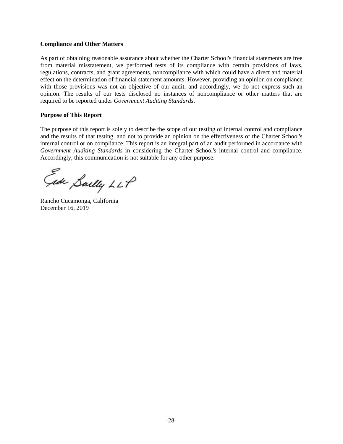#### **Compliance and Other Matters**

As part of obtaining reasonable assurance about whether the Charter School's financial statements are free from material misstatement, we performed tests of its compliance with certain provisions of laws, regulations, contracts, and grant agreements, noncompliance with which could have a direct and material effect on the determination of financial statement amounts. However, providing an opinion on compliance with those provisions was not an objective of our audit, and accordingly, we do not express such an opinion. The results of our tests disclosed no instances of noncompliance or other matters that are required to be reported under *Government Auditing Standards*.

#### **Purpose of This Report**

The purpose of this report is solely to describe the scope of our testing of internal control and compliance and the results of that testing, and not to provide an opinion on the effectiveness of the Charter School's internal control or on compliance. This report is an integral part of an audit performed in accordance with *Government Auditing Standards* in considering the Charter School's internal control and compliance. Accordingly, this communication is not suitable for any other purpose.

Gide Sailly LLP

Rancho Cucamonga, California December 16, 2019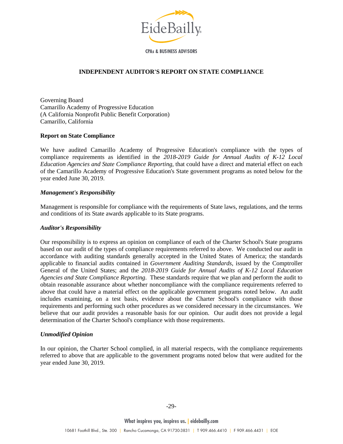

**CPAs & BUSINESS ADVISORS** 

## **INDEPENDENT AUDITOR'S REPORT ON STATE COMPLIANCE**

<span id="page-30-0"></span>Governing Board Camarillo Academy of Progressive Education (A California Nonprofit Public Benefit Corporation) Camarillo, California

#### **Report on State Compliance**

We have audited Camarillo Academy of Progressive Education's compliance with the types of compliance requirements as identified in the *2018-2019 Guide for Annual Audits of K-12 Local Education Agencies and State Compliance Reporting*, that could have a direct and material effect on each of the Camarillo Academy of Progressive Education's State government programs as noted below for the year ended June 30, 2019.

#### *Management's Responsibility*

Management is responsible for compliance with the requirements of State laws, regulations, and the terms and conditions of its State awards applicable to its State programs.

#### *Auditor's Responsibility*

Our responsibility is to express an opinion on compliance of each of the Charter School's State programs based on our audit of the types of compliance requirements referred to above. We conducted our audit in accordance with auditing standards generally accepted in the United States of America; the standards applicable to financial audits contained in *Government Auditing Standards*, issued by the Comptroller General of the United States; and the *2018-2019 Guide for Annual Audits of K-12 Local Education Agencies and State Compliance Reporting*. These standards require that we plan and perform the audit to obtain reasonable assurance about whether noncompliance with the compliance requirements referred to above that could have a material effect on the applicable government programs noted below. An audit includes examining, on a test basis, evidence about the Charter School's compliance with those requirements and performing such other procedures as we considered necessary in the circumstances. We believe that our audit provides a reasonable basis for our opinion. Our audit does not provide a legal determination of the Charter School's compliance with those requirements.

#### *Unmodified Opinion*

In our opinion, the Charter School complied, in all material respects, with the compliance requirements referred to above that are applicable to the government programs noted below that were audited for the year ended June 30, 2019.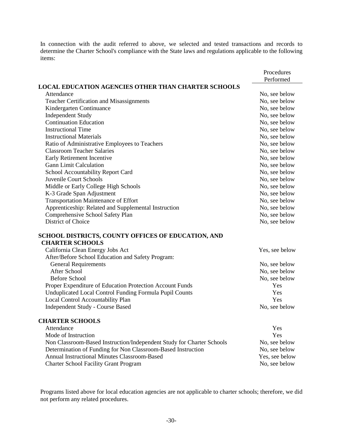In connection with the audit referred to above, we selected and tested transactions and records to determine the Charter School's compliance with the State laws and regulations applicable to the following items:

|                                                                       | Procedures     |
|-----------------------------------------------------------------------|----------------|
|                                                                       | Performed      |
| <b>LOCAL EDUCATION AGENCIES OTHER THAN CHARTER SCHOOLS</b>            |                |
| Attendance                                                            | No, see below  |
| Teacher Certification and Misassignments                              | No, see below  |
| Kindergarten Continuance                                              | No, see below  |
| <b>Independent Study</b>                                              | No, see below  |
| <b>Continuation Education</b>                                         | No, see below  |
| <b>Instructional Time</b>                                             | No, see below  |
| <b>Instructional Materials</b>                                        | No, see below  |
| Ratio of Administrative Employees to Teachers                         | No, see below  |
| <b>Classroom Teacher Salaries</b>                                     | No, see below  |
| Early Retirement Incentive                                            | No, see below  |
| <b>Gann Limit Calculation</b>                                         | No, see below  |
| School Accountability Report Card                                     | No, see below  |
| Juvenile Court Schools                                                | No, see below  |
| Middle or Early College High Schools                                  | No, see below  |
| K-3 Grade Span Adjustment                                             | No, see below  |
| Transportation Maintenance of Effort                                  | No, see below  |
| Apprenticeship: Related and Supplemental Instruction                  | No, see below  |
| Comprehensive School Safety Plan                                      | No, see below  |
| District of Choice                                                    | No, see below  |
| <b>SCHOOL DISTRICTS, COUNTY OFFICES OF EDUCATION, AND</b>             |                |
| <b>CHARTER SCHOOLS</b>                                                |                |
| California Clean Energy Jobs Act                                      | Yes, see below |
| After/Before School Education and Safety Program:                     |                |
| <b>General Requirements</b>                                           | No, see below  |
| After School                                                          | No, see below  |
| <b>Before School</b>                                                  | No, see below  |
| Proper Expenditure of Education Protection Account Funds              | Yes            |
| Unduplicated Local Control Funding Formula Pupil Counts               | Yes            |
| Local Control Accountability Plan                                     | Yes            |
| <b>Independent Study - Course Based</b>                               | No, see below  |
| <b>CHARTER SCHOOLS</b>                                                |                |
| Attendance                                                            | Yes            |
| Mode of Instruction                                                   | Yes            |
| Non Classroom-Based Instruction/Independent Study for Charter Schools | No, see below  |
| Determination of Funding for Non Classroom-Based Instruction          | No, see below  |
| <b>Annual Instructional Minutes Classroom-Based</b>                   | Yes, see below |
| <b>Charter School Facility Grant Program</b>                          | No, see below  |

Programs listed above for local education agencies are not applicable to charter schools; therefore, we did not perform any related procedures.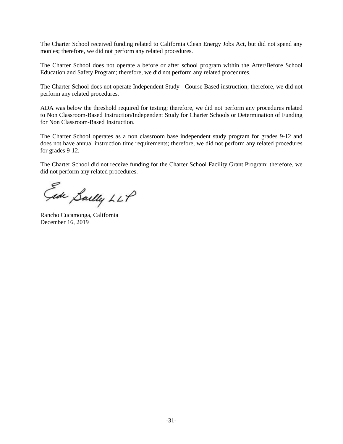The Charter School received funding related to California Clean Energy Jobs Act, but did not spend any monies; therefore, we did not perform any related procedures.

The Charter School does not operate a before or after school program within the After/Before School Education and Safety Program; therefore, we did not perform any related procedures.

The Charter School does not operate Independent Study - Course Based instruction; therefore, we did not perform any related procedures.

ADA was below the threshold required for testing; therefore, we did not perform any procedures related to Non Classroom-Based Instruction/Independent Study for Charter Schools or Determination of Funding for Non Classroom-Based Instruction.

The Charter School operates as a non classroom base independent study program for grades 9-12 and does not have annual instruction time requirements; therefore, we did not perform any related procedures for grades 9-12.

The Charter School did not receive funding for the Charter School Facility Grant Program; therefore, we did not perform any related procedures.

Fade Sailly LLP

Rancho Cucamonga, California December 16, 2019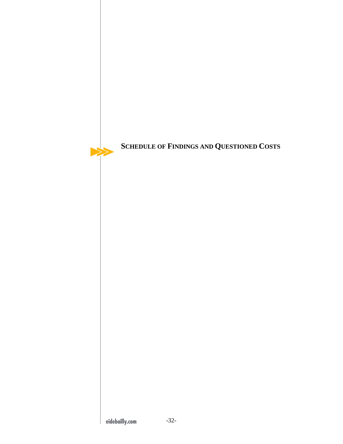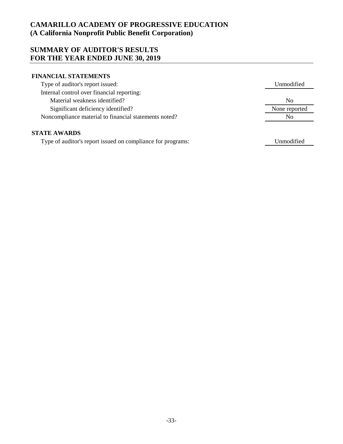## **SUMMARY OF AUDITOR'S RESULTS FOR THE YEAR ENDED JUNE 30, 2019**

## <span id="page-34-0"></span>**FINANCIAL STATEMENTS**

| Type of auditor's report issued:                      | Unmodified     |
|-------------------------------------------------------|----------------|
| Internal control over financial reporting:            |                |
| Material weakness identified?                         | N <sub>0</sub> |
| Significant deficiency identified?                    | None reported  |
| Noncompliance material to financial statements noted? | No             |
|                                                       |                |
| <b>STATE AWARDS</b>                                   |                |

Type of auditor's report issued on compliance for programs:

Unmodified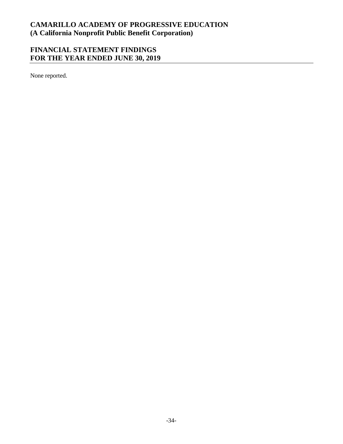# **FINANCIAL STATEMENT FINDINGS FOR THE YEAR ENDED JUNE 30, 2019**

<span id="page-35-0"></span>None reported.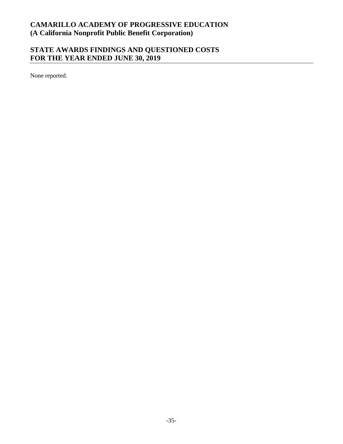# **STATE AWARDS FINDINGS AND QUESTIONED COSTS FOR THE YEAR ENDED JUNE 30, 2019**

<span id="page-36-0"></span>None reported.